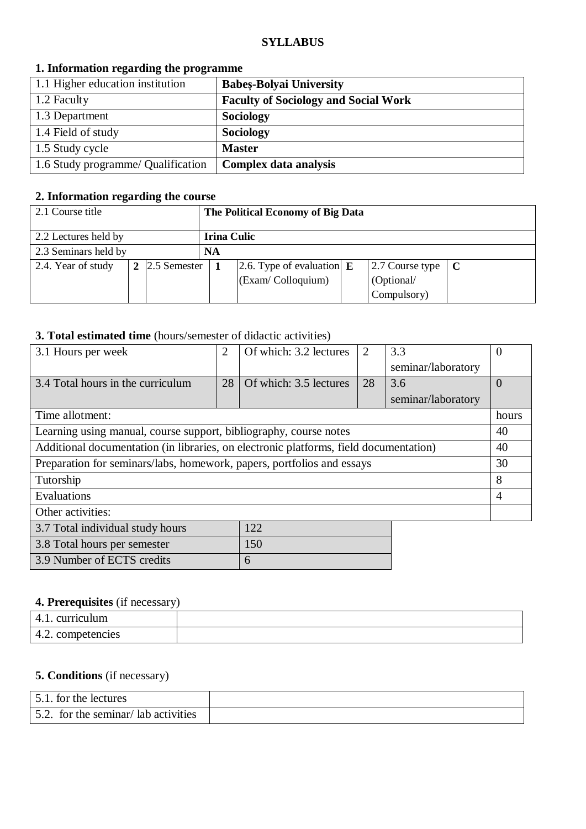#### **SYLLABUS**

| 1. Information regarding the programme |                                             |  |  |
|----------------------------------------|---------------------------------------------|--|--|
| 1.1 Higher education institution       | <b>Babes-Bolyai University</b>              |  |  |
| 1.2 Faculty                            | <b>Faculty of Sociology and Social Work</b> |  |  |
| 1.3 Department                         | <b>Sociology</b>                            |  |  |
| 1.4 Field of study                     | <b>Sociology</b>                            |  |  |
| 1.5 Study cycle                        | <b>Master</b>                               |  |  |
| 1.6 Study programme/ Qualification     | Complex data analysis                       |  |  |

### **1. Information regarding the programme**

# **2. Information regarding the course**

| 2.1 Course title     |             |                        | The Political Economy of Big Data |                                     |  |                 |  |
|----------------------|-------------|------------------------|-----------------------------------|-------------------------------------|--|-----------------|--|
| 2.2 Lectures held by | Irina Culic |                        |                                   |                                     |  |                 |  |
| 2.3 Seminars held by |             |                        | NA                                |                                     |  |                 |  |
| 2.4. Year of study   |             | 2 $\vert$ 2.5 Semester |                                   | 2.6. Type of evaluation $\mathbf E$ |  | 2.7 Course type |  |
|                      |             |                        |                                   | (Exam/Colloquium)                   |  | (Optional/      |  |
|                      |             |                        |                                   |                                     |  | Compulsory)     |  |

# **3. Total estimated time** (hours/semester of didactic activities)

| 3.1 Hours per week                                                                    | $\overline{2}$ | Of which: 3.2 lectures | 2  | 3.3                | $\theta$ |
|---------------------------------------------------------------------------------------|----------------|------------------------|----|--------------------|----------|
|                                                                                       |                |                        |    | seminar/laboratory |          |
| 3.4 Total hours in the curriculum                                                     | 28             | Of which: 3.5 lectures | 28 | 3.6                | $\Omega$ |
|                                                                                       |                |                        |    | seminar/laboratory |          |
| Time allotment:                                                                       |                |                        |    |                    | hours    |
| Learning using manual, course support, bibliography, course notes                     |                |                        |    |                    | 40       |
| Additional documentation (in libraries, on electronic platforms, field documentation) |                |                        |    |                    | 40       |
| Preparation for seminars/labs, homework, papers, portfolios and essays                |                |                        |    |                    | 30       |
| Tutorship                                                                             |                |                        |    |                    | 8        |
| Evaluations                                                                           |                |                        |    |                    | 4        |
| Other activities:                                                                     |                |                        |    |                    |          |
| 3.7 Total individual study hours                                                      |                | 122                    |    |                    |          |
| 3.8 Total hours per semester                                                          |                | 150                    |    |                    |          |
| 3.9 Number of ECTS credits                                                            |                | 6                      |    |                    |          |

### **4. Prerequisites** (if necessary)

| riculum<br>$_{\rm CII}$ r $_{\rm r}$<br><b>T.L.</b> |  |
|-----------------------------------------------------|--|
| competencies<br>.<br>.                              |  |

# **5. Conditions** (if necessary)

| 5.1, for the lectures               |  |
|-------------------------------------|--|
| 5.2. for the seminar/lab activities |  |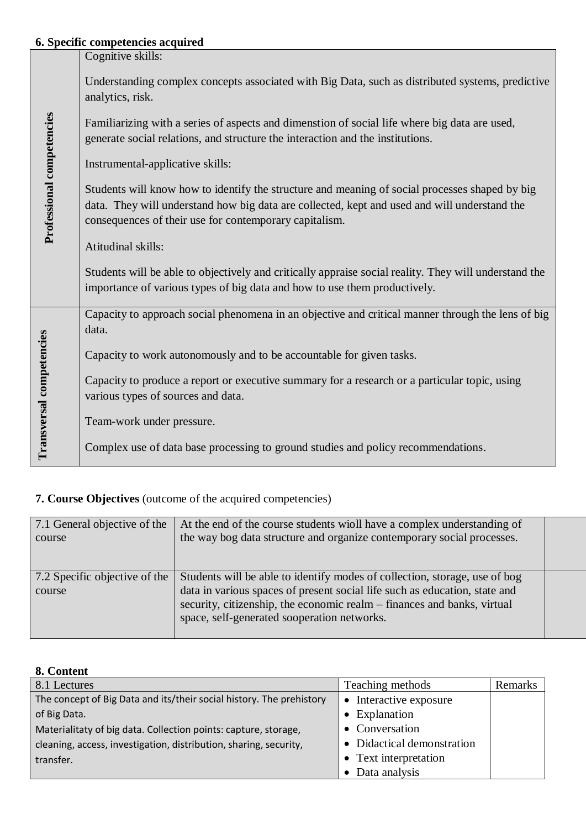# **6. Specific competencies acquired**

|                           | 0. Specific competencies acquired                                                                                                                                                                                                                        |
|---------------------------|----------------------------------------------------------------------------------------------------------------------------------------------------------------------------------------------------------------------------------------------------------|
|                           | Cognitive skills:                                                                                                                                                                                                                                        |
|                           | Understanding complex concepts associated with Big Data, such as distributed systems, predictive<br>analytics, risk.                                                                                                                                     |
|                           | Familiarizing with a series of aspects and dimenstion of social life where big data are used,<br>generate social relations, and structure the interaction and the institutions.                                                                          |
|                           | Instrumental-applicative skills:                                                                                                                                                                                                                         |
| Professional competencies | Students will know how to identify the structure and meaning of social processes shaped by big<br>data. They will understand how big data are collected, kept and used and will understand the<br>consequences of their use for contemporary capitalism. |
|                           | Atitudinal skills:                                                                                                                                                                                                                                       |
|                           | Students will be able to objectively and critically appraise social reality. They will understand the<br>importance of various types of big data and how to use them productively.                                                                       |
|                           | Capacity to approach social phenomena in an objective and critical manner through the lens of big<br>data.                                                                                                                                               |
|                           | Capacity to work autonomously and to be accountable for given tasks.                                                                                                                                                                                     |
| Transversal competencies  | Capacity to produce a report or executive summary for a research or a particular topic, using<br>various types of sources and data.                                                                                                                      |
|                           | Team-work under pressure.                                                                                                                                                                                                                                |
|                           | Complex use of data base processing to ground studies and policy recommendations.                                                                                                                                                                        |

# **7. Course Objectives** (outcome of the acquired competencies)

| 7.1 General objective of the<br>course  | At the end of the course students will have a complex understanding of<br>the way bog data structure and organize contemporary social processes.                                                                                                                                   |  |
|-----------------------------------------|------------------------------------------------------------------------------------------------------------------------------------------------------------------------------------------------------------------------------------------------------------------------------------|--|
| 7.2 Specific objective of the<br>course | Students will be able to identify modes of collection, storage, use of bog<br>data in various spaces of present social life such as education, state and<br>security, citizenship, the economic realm – finances and banks, virtual<br>space, self-generated sooperation networks. |  |

# **8. Content**

| 8.1 Lectures                                                         | Teaching methods           | Remarks |
|----------------------------------------------------------------------|----------------------------|---------|
| The concept of Big Data and its/their social history. The prehistory | • Interactive exposure     |         |
| of Big Data.                                                         | • Explanation              |         |
| Materialitaty of big data. Collection points: capture, storage,      | • Conversation             |         |
| cleaning, access, investigation, distribution, sharing, security,    | • Didactical demonstration |         |
| transfer.                                                            | • Text interpretation      |         |
|                                                                      | • Data analysis            |         |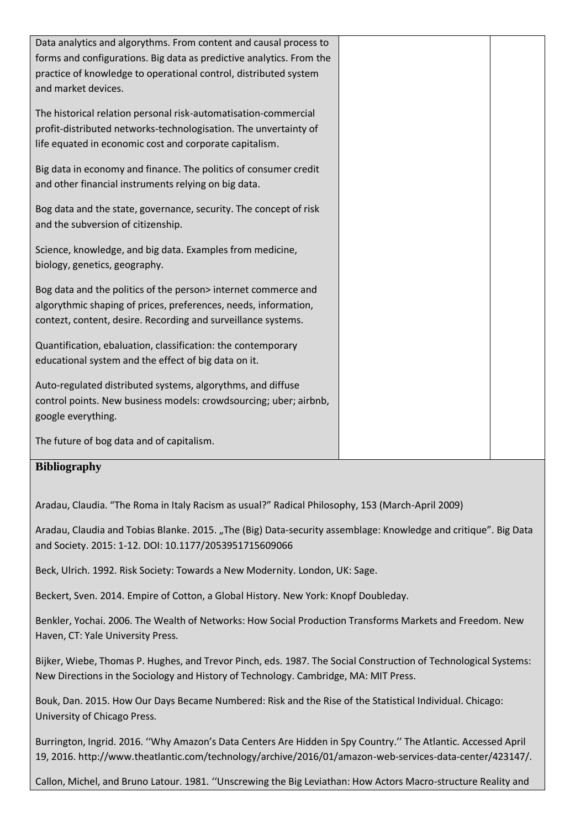| Data analytics and algorythms. From content and causal process to<br>forms and configurations. Big data as predictive analytics. From the<br>practice of knowledge to operational control, distributed system<br>and market devices. |  |
|--------------------------------------------------------------------------------------------------------------------------------------------------------------------------------------------------------------------------------------|--|
| The historical relation personal risk-automatisation-commercial<br>profit-distributed networks-technologisation. The unvertainty of<br>life equated in economic cost and corporate capitalism.                                       |  |
| Big data in economy and finance. The politics of consumer credit<br>and other financial instruments relying on big data.                                                                                                             |  |
| Bog data and the state, governance, security. The concept of risk<br>and the subversion of citizenship.                                                                                                                              |  |
| Science, knowledge, and big data. Examples from medicine,<br>biology, genetics, geography.                                                                                                                                           |  |
| Bog data and the politics of the person> internet commerce and<br>algorythmic shaping of prices, preferences, needs, information,<br>contezt, content, desire. Recording and surveillance systems.                                   |  |
| Quantification, ebaluation, classification: the contemporary<br>educational system and the effect of big data on it.                                                                                                                 |  |
| Auto-regulated distributed systems, algorythms, and diffuse<br>control points. New business models: crowdsourcing; uber; airbnb,<br>google everything.                                                                               |  |
| The future of bog data and of capitalism.                                                                                                                                                                                            |  |

#### **Bibliography**

Aradau, Claudia. "The Roma in Italy Racism as usual?" Radical Philosophy, 153 (March-April 2009)

Aradau, Claudia and Tobias Blanke. 2015. "The (Big) Data-security assemblage: Knowledge and critique". Big Data and Society. 2015: 1-12. DOI: 10.1177/2053951715609066

Beck, Ulrich. 1992. Risk Society: Towards a New Modernity. London, UK: Sage.

Beckert, Sven. 2014. Empire of Cotton, a Global History. New York: Knopf Doubleday.

Benkler, Yochai. 2006. The Wealth of Networks: How Social Production Transforms Markets and Freedom. New Haven, CT: Yale University Press.

Bijker, Wiebe, Thomas P. Hughes, and Trevor Pinch, eds. 1987. The Social Construction of Technological Systems: New Directions in the Sociology and History of Technology. Cambridge, MA: MIT Press.

Bouk, Dan. 2015. How Our Days Became Numbered: Risk and the Rise of the Statistical Individual. Chicago: University of Chicago Press.

Burrington, Ingrid. 2016. ''Why Amazon's Data Centers Are Hidden in Spy Country.'' The Atlantic. Accessed April 19, 2016. http://www.theatlantic.com/technology/archive/2016/01/amazon-web-services-data-center/423147/.

Callon, Michel, and Bruno Latour. 1981. ''Unscrewing the Big Leviathan: How Actors Macro-structure Reality and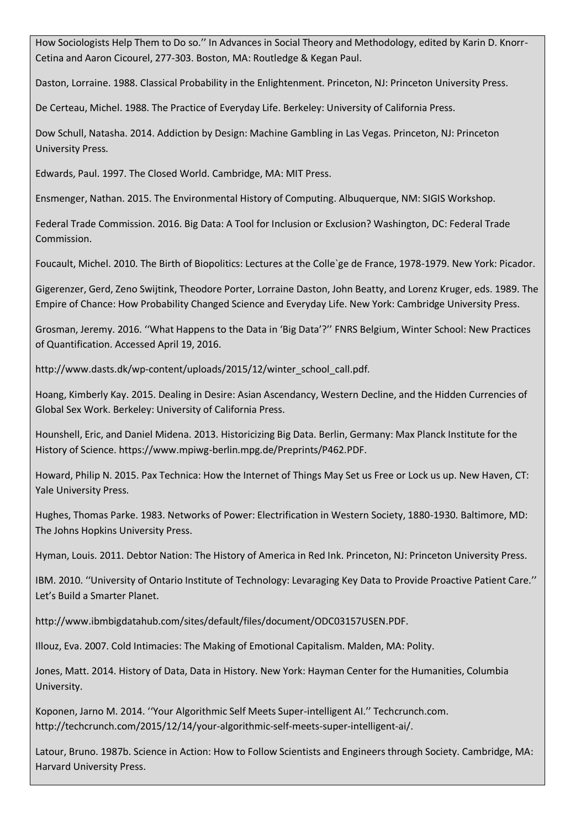How Sociologists Help Them to Do so.'' In Advances in Social Theory and Methodology, edited by Karin D. Knorr-Cetina and Aaron Cicourel, 277-303. Boston, MA: Routledge & Kegan Paul.

Daston, Lorraine. 1988. Classical Probability in the Enlightenment. Princeton, NJ: Princeton University Press.

De Certeau, Michel. 1988. The Practice of Everyday Life. Berkeley: University of California Press.

Dow Schull, Natasha. 2014. Addiction by Design: Machine Gambling in Las Vegas. Princeton, NJ: Princeton University Press.

Edwards, Paul. 1997. The Closed World. Cambridge, MA: MIT Press.

Ensmenger, Nathan. 2015. The Environmental History of Computing. Albuquerque, NM: SIGIS Workshop.

Federal Trade Commission. 2016. Big Data: A Tool for Inclusion or Exclusion? Washington, DC: Federal Trade Commission.

Foucault, Michel. 2010. The Birth of Biopolitics: Lectures at the Colle`ge de France, 1978-1979. New York: Picador.

Gigerenzer, Gerd, Zeno Swijtink, Theodore Porter, Lorraine Daston, John Beatty, and Lorenz Kruger, eds. 1989. The Empire of Chance: How Probability Changed Science and Everyday Life. New York: Cambridge University Press.

Grosman, Jeremy. 2016. ''What Happens to the Data in 'Big Data'?'' FNRS Belgium, Winter School: New Practices of Quantification. Accessed April 19, 2016.

http://www.dasts.dk/wp-content/uploads/2015/12/winter\_school\_call.pdf.

Hoang, Kimberly Kay. 2015. Dealing in Desire: Asian Ascendancy, Western Decline, and the Hidden Currencies of Global Sex Work. Berkeley: University of California Press.

Hounshell, Eric, and Daniel Midena. 2013. Historicizing Big Data. Berlin, Germany: Max Planck Institute for the History of Science. https://www.mpiwg-berlin.mpg.de/Preprints/P462.PDF.

Howard, Philip N. 2015. Pax Technica: How the Internet of Things May Set us Free or Lock us up. New Haven, CT: Yale University Press.

Hughes, Thomas Parke. 1983. Networks of Power: Electrification in Western Society, 1880-1930. Baltimore, MD: The Johns Hopkins University Press.

Hyman, Louis. 2011. Debtor Nation: The History of America in Red Ink. Princeton, NJ: Princeton University Press.

IBM. 2010. ''University of Ontario Institute of Technology: Levaraging Key Data to Provide Proactive Patient Care.'' Let's Build a Smarter Planet.

http://www.ibmbigdatahub.com/sites/default/files/document/ODC03157USEN.PDF.

Illouz, Eva. 2007. Cold Intimacies: The Making of Emotional Capitalism. Malden, MA: Polity.

Jones, Matt. 2014. History of Data, Data in History. New York: Hayman Center for the Humanities, Columbia University.

Koponen, Jarno M. 2014. ''Your Algorithmic Self Meets Super-intelligent AI.'' Techcrunch.com. http://techcrunch.com/2015/12/14/your-algorithmic-self-meets-super-intelligent-ai/.

Latour, Bruno. 1987b. Science in Action: How to Follow Scientists and Engineers through Society. Cambridge, MA: Harvard University Press.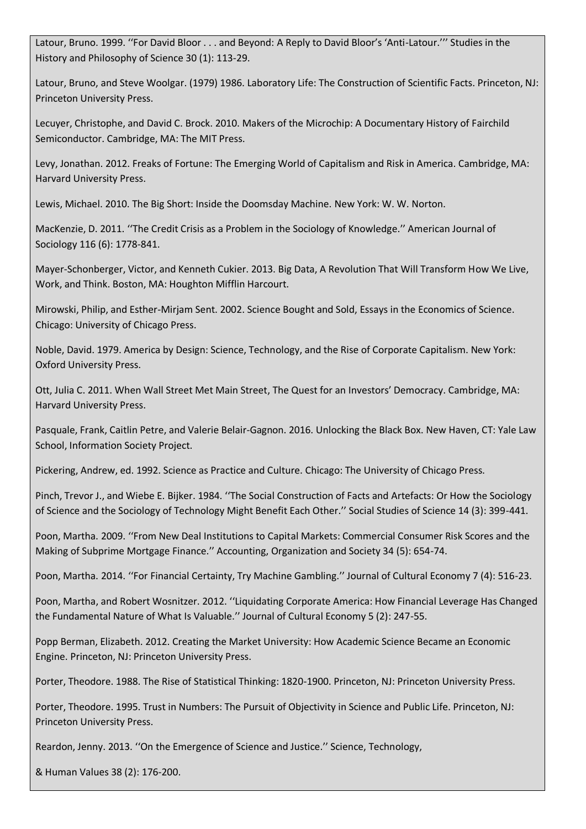Latour, Bruno. 1999. ''For David Bloor . . . and Beyond: A Reply to David Bloor's 'Anti-Latour.''' Studies in the History and Philosophy of Science 30 (1): 113-29.

Latour, Bruno, and Steve Woolgar. (1979) 1986. Laboratory Life: The Construction of Scientific Facts. Princeton, NJ: Princeton University Press.

Lecuyer, Christophe, and David C. Brock. 2010. Makers of the Microchip: A Documentary History of Fairchild Semiconductor. Cambridge, MA: The MIT Press.

Levy, Jonathan. 2012. Freaks of Fortune: The Emerging World of Capitalism and Risk in America. Cambridge, MA: Harvard University Press.

Lewis, Michael. 2010. The Big Short: Inside the Doomsday Machine. New York: W. W. Norton.

MacKenzie, D. 2011. ''The Credit Crisis as a Problem in the Sociology of Knowledge.'' American Journal of Sociology 116 (6): 1778-841.

Mayer-Schonberger, Victor, and Kenneth Cukier. 2013. Big Data, A Revolution That Will Transform How We Live, Work, and Think. Boston, MA: Houghton Mifflin Harcourt.

Mirowski, Philip, and Esther-Mirjam Sent. 2002. Science Bought and Sold, Essays in the Economics of Science. Chicago: University of Chicago Press.

Noble, David. 1979. America by Design: Science, Technology, and the Rise of Corporate Capitalism. New York: Oxford University Press.

Ott, Julia C. 2011. When Wall Street Met Main Street, The Quest for an Investors' Democracy. Cambridge, MA: Harvard University Press.

Pasquale, Frank, Caitlin Petre, and Valerie Belair-Gagnon. 2016. Unlocking the Black Box. New Haven, CT: Yale Law School, Information Society Project.

Pickering, Andrew, ed. 1992. Science as Practice and Culture. Chicago: The University of Chicago Press.

Pinch, Trevor J., and Wiebe E. Bijker. 1984. ''The Social Construction of Facts and Artefacts: Or How the Sociology of Science and the Sociology of Technology Might Benefit Each Other.'' Social Studies of Science 14 (3): 399-441.

Poon, Martha. 2009. ''From New Deal Institutions to Capital Markets: Commercial Consumer Risk Scores and the Making of Subprime Mortgage Finance.'' Accounting, Organization and Society 34 (5): 654-74.

Poon, Martha. 2014. ''For Financial Certainty, Try Machine Gambling.'' Journal of Cultural Economy 7 (4): 516-23.

Poon, Martha, and Robert Wosnitzer. 2012. ''Liquidating Corporate America: How Financial Leverage Has Changed the Fundamental Nature of What Is Valuable.'' Journal of Cultural Economy 5 (2): 247-55.

Popp Berman, Elizabeth. 2012. Creating the Market University: How Academic Science Became an Economic Engine. Princeton, NJ: Princeton University Press.

Porter, Theodore. 1988. The Rise of Statistical Thinking: 1820-1900. Princeton, NJ: Princeton University Press.

Porter, Theodore. 1995. Trust in Numbers: The Pursuit of Objectivity in Science and Public Life. Princeton, NJ: Princeton University Press.

Reardon, Jenny. 2013. ''On the Emergence of Science and Justice.'' Science, Technology,

& Human Values 38 (2): 176-200.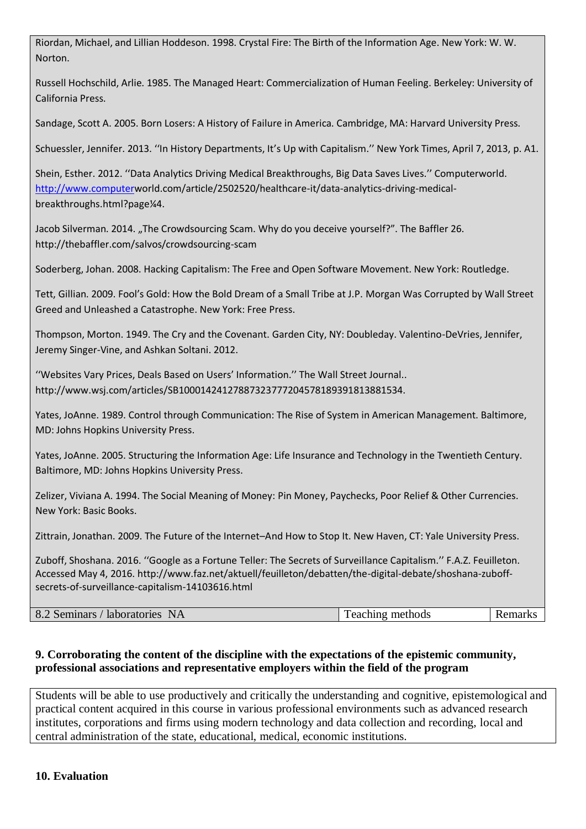Riordan, Michael, and Lillian Hoddeson. 1998. Crystal Fire: The Birth of the Information Age. New York: W. W. Norton.

Russell Hochschild, Arlie. 1985. The Managed Heart: Commercialization of Human Feeling. Berkeley: University of California Press.

Sandage, Scott A. 2005. Born Losers: A History of Failure in America. Cambridge, MA: Harvard University Press.

Schuessler, Jennifer. 2013. ''In History Departments, It's Up with Capitalism.'' New York Times, April 7, 2013, p. A1.

Shein, Esther. 2012. ''Data Analytics Driving Medical Breakthroughs, Big Data Saves Lives.'' Computerworld. [http://www.computerw](http://www.computer/)orld.com/article/2502520/healthcare-it/data-analytics-driving-medicalbreakthroughs.html?page¼4.

Jacob Silverman. 2014. "The Crowdsourcing Scam. Why do you deceive yourself?". The Baffler 26. http://thebaffler.com/salvos/crowdsourcing-scam

Soderberg, Johan. 2008. Hacking Capitalism: The Free and Open Software Movement. New York: Routledge.

Tett, Gillian. 2009. Fool's Gold: How the Bold Dream of a Small Tribe at J.P. Morgan Was Corrupted by Wall Street Greed and Unleashed a Catastrophe. New York: Free Press.

Thompson, Morton. 1949. The Cry and the Covenant. Garden City, NY: Doubleday. Valentino-DeVries, Jennifer, Jeremy Singer-Vine, and Ashkan Soltani. 2012.

''Websites Vary Prices, Deals Based on Users' Information.'' The Wall Street Journal.. http://www.wsj.com/articles/SB10001424127887323777204578189391813881534.

Yates, JoAnne. 1989. Control through Communication: The Rise of System in American Management. Baltimore, MD: Johns Hopkins University Press.

Yates, JoAnne. 2005. Structuring the Information Age: Life Insurance and Technology in the Twentieth Century. Baltimore, MD: Johns Hopkins University Press.

Zelizer, Viviana A. 1994. The Social Meaning of Money: Pin Money, Paychecks, Poor Relief & Other Currencies. New York: Basic Books.

Zittrain, Jonathan. 2009. The Future of the Internet–And How to Stop It. New Haven, CT: Yale University Press.

Zuboff, Shoshana. 2016. ''Google as a Fortune Teller: The Secrets of Surveillance Capitalism.'' F.A.Z. Feuilleton. Accessed May 4, 2016. http://www.faz.net/aktuell/feuilleton/debatten/the-digital-debate/shoshana-zuboffsecrets-of-surveillance-capitalism-14103616.html

| 8.2 Seminars / laboratories NA | Teaching methods | <b>Remarks</b> |
|--------------------------------|------------------|----------------|
|                                |                  |                |

### **9. Corroborating the content of the discipline with the expectations of the epistemic community, professional associations and representative employers within the field of the program**

Students will be able to use productively and critically the understanding and cognitive, epistemological and practical content acquired in this course in various professional environments such as advanced research institutes, corporations and firms using modern technology and data collection and recording, local and central administration of the state, educational, medical, economic institutions.